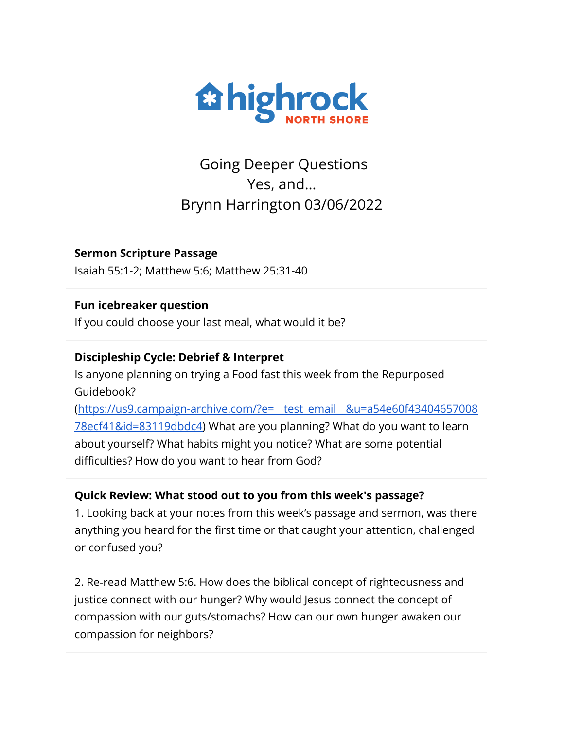

Going Deeper Questions Yes, and… Brynn Harrington 03/06/2022

**Sermon Scripture Passage** Isaiah 55:1-2; Matthew 5:6; Matthew 25:31-40

### **Fun icebreaker question**

If you could choose your last meal, what would it be?

# **Discipleship Cycle: Debrief & Interpret**

Is anyone planning on trying a Food fast this week from the Repurposed Guidebook?

([https://us9.campaign-archive.com/?e=\\_\\_test\\_email\\_\\_&u=a54e60f43404657008](https://us9.campaign-archive.com/?e=__test_email__&u=a54e60f4340465700878ecf41&id=83119dbdc4) [78ecf41&id=83119dbdc4\)](https://us9.campaign-archive.com/?e=__test_email__&u=a54e60f4340465700878ecf41&id=83119dbdc4) What are you planning? What do you want to learn about yourself? What habits might you notice? What are some potential difficulties? How do you want to hear from God?

# **Quick Review: What stood out to you from this week's passage?**

1. Looking back at your notes from this week's passage and sermon, was there anything you heard for the first time or that caught your attention, challenged or confused you?

2. Re-read Matthew 5:6. How does the biblical concept of righteousness and justice connect with our hunger? Why would Jesus connect the concept of compassion with our guts/stomachs? How can our own hunger awaken our compassion for neighbors?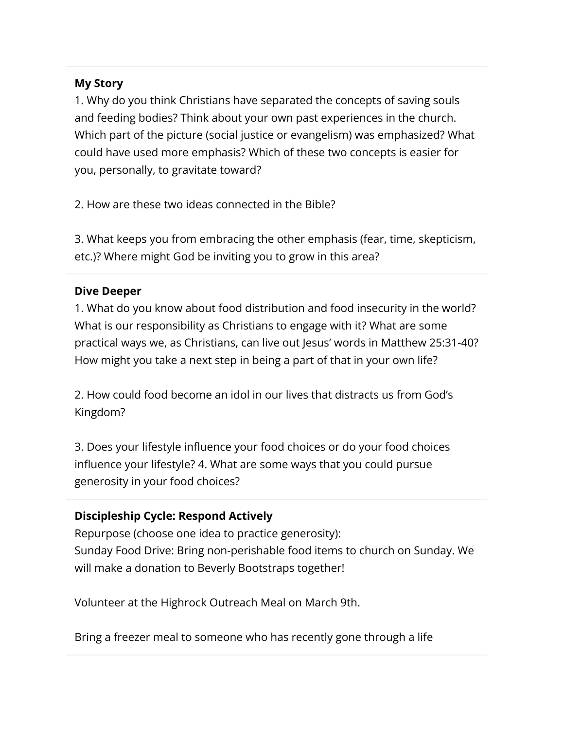### **My Story**

1. Why do you think Christians have separated the concepts of saving souls and feeding bodies? Think about your own past experiences in the church. Which part of the picture (social justice or evangelism) was emphasized? What could have used more emphasis? Which of these two concepts is easier for you, personally, to gravitate toward?

2. How are these two ideas connected in the Bible?

3. What keeps you from embracing the other emphasis (fear, time, skepticism, etc.)? Where might God be inviting you to grow in this area?

### **Dive Deeper**

1. What do you know about food distribution and food insecurity in the world? What is our responsibility as Christians to engage with it? What are some practical ways we, as Christians, can live out Jesus' words in Matthew 25:31-40? How might you take a next step in being a part of that in your own life?

2. How could food become an idol in our lives that distracts us from God's Kingdom?

3. Does your lifestyle influence your food choices or do your food choices influence your lifestyle? 4. What are some ways that you could pursue generosity in your food choices?

# **Discipleship Cycle: Respond Actively**

Repurpose (choose one idea to practice generosity): Sunday Food Drive: Bring non-perishable food items to church on Sunday. We will make a donation to Beverly Bootstraps together!

Volunteer at the Highrock Outreach Meal on March 9th.

Bring a freezer meal to someone who has recently gone through a life